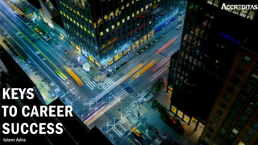KEKS TO CAREER SUCCESS

ACCREDITAS

**Islam Adra**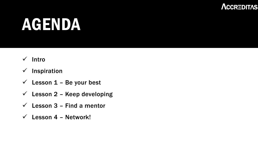#### ΛCCRΞDITΛS

#### AGENDA

#### ✓ Intro

- ✓ Inspiration
- $\checkmark$  Lesson 1 Be your best
- $\checkmark$  Lesson 2 Keep developing
- $\checkmark$  Lesson 3 Find a mentor
- $\checkmark$  Lesson 4 Network!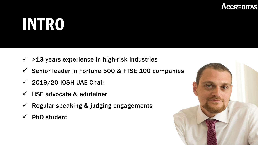#### ΛCCRΞDITΛS

# INTRO

- $\checkmark$  >13 years experience in high-risk industries
- $\checkmark$  Senior leader in Fortune 500 & FTSE 100 companies
- $\checkmark$  2019/20 IOSH UAE Chair
- $\checkmark$  HSE advocate & edutainer
- $\checkmark$  Regular speaking & judging engagements
- $\checkmark$  PhD student

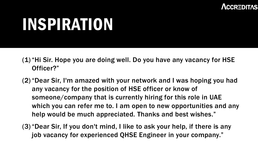

## INSPIRATION

- (1)"Hi Sir. Hope you are doing well. Do you have any vacancy for HSE Officer?"
- (2)"Dear Sir, I'm amazed with your network and I was hoping you had any vacancy for the position of HSE officer or know of someone/company that is currently hiring for this role in UAE which you can refer me to. I am open to new opportunities and any help would be much appreciated. Thanks and best wishes."
- (3)"Dear Sir, If you don't mind, I like to ask your help, if there is any job vacancy for experienced QHSE Engineer in your company."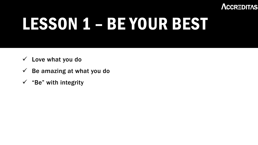

# LESSON 1 – BE YOUR BEST

- $\checkmark$  Love what you do
- $\checkmark$  Be amazing at what you do
- $\checkmark$  "Be" with integrity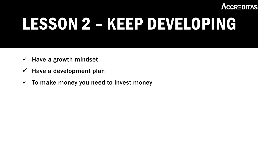ΛCCRΞDITΛS

# LESSON 2 – KEEP DEVELOPING

- $\checkmark$  Have a growth mindset
- $\checkmark$  Have a development plan
- $\checkmark$  To make money you need to invest money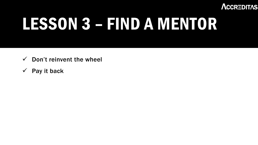

## LESSON 3 – FIND A MENTOR

- Don't reinvent the wheel  $\checkmark$
- Pay it back  $\checkmark$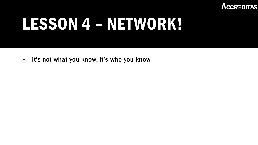

#### LESSON 4 – NETWORK!

√ It's not what you know, it's who you know